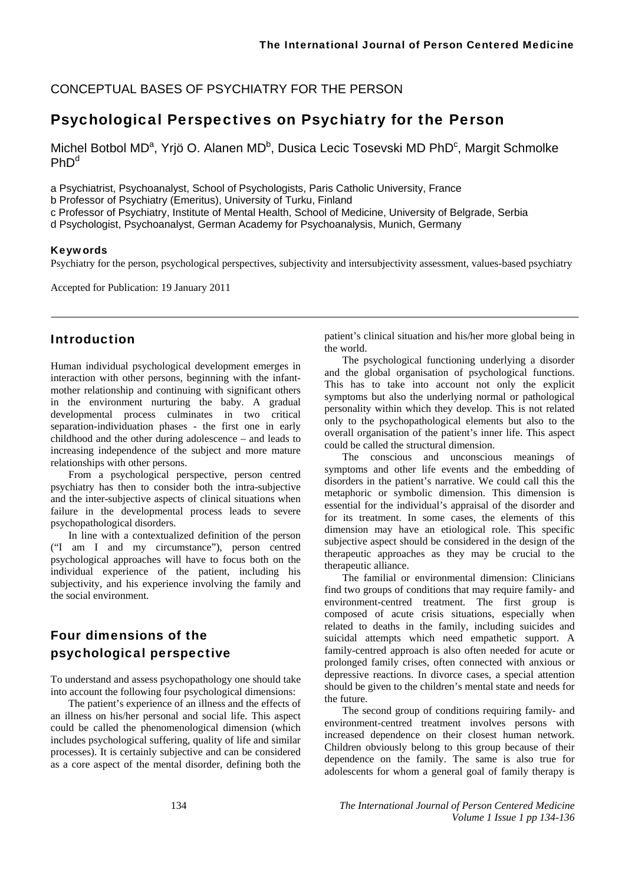CONCEPTUAL BASES OF PSYCHIATRY FOR THE PERSON

### Psychological Perspectives on Psychiatry for the Person

Michel Botbol MD<sup>a</sup>, Yrjö O. Alanen MD<sup>b</sup>, Dusica Lecic Tosevski MD PhD<sup>c</sup>, Margit Schmolke  $PhD<sup>d</sup>$ 

a Psychiatrist, Psychoanalyst, School of Psychologists, Paris Catholic University, France

b Professor of Psychiatry (Emeritus), University of Turku, Finland

c Professor of Psychiatry, Institute of Mental Health, School of Medicine, University of Belgrade, Serbia

d Psychologist, Psychoanalyst, German Academy for Psychoanalysis, Munich, Germany

#### Keywords

Psychiatry for the person, psychological perspectives, subjectivity and intersubjectivity assessment, values-based psychiatry

Accepted for Publication: 19 January 2011

### Introduction

Human individual psychological development emerges in interaction with other persons, beginning with the infantmother relationship and continuing with significant others in the environment nurturing the baby. A gradual developmental process culminates in two critical separation-individuation phases - the first one in early childhood and the other during adolescence – and leads to increasing independence of the subject and more mature relationships with other persons.

From a psychological perspective, person centred psychiatry has then to consider both the intra-subjective and the inter-subjective aspects of clinical situations when failure in the developmental process leads to severe psychopathological disorders.

In line with a contextualized definition of the person ("I am I and my circumstance"), person centred psychological approaches will have to focus both on the individual experience of the patient, including his subjectivity, and his experience involving the family and the social environment.

# Four dimensions of the psychological perspective

To understand and assess psychopathology one should take into account the following four psychological dimensions:

The patient's experience of an illness and the effects of an illness on his/her personal and social life. This aspect could be called the phenomenological dimension (which includes psychological suffering, quality of life and similar processes). It is certainly subjective and can be considered as a core aspect of the mental disorder, defining both the

patient's clinical situation and his/her more global being in the world.

The psychological functioning underlying a disorder and the global organisation of psychological functions. This has to take into account not only the explicit symptoms but also the underlying normal or pathological personality within which they develop. This is not related only to the psychopathological elements but also to the overall organisation of the patient's inner life. This aspect could be called the structural dimension.

The conscious and unconscious meanings of symptoms and other life events and the embedding of disorders in the patient's narrative. We could call this the metaphoric or symbolic dimension. This dimension is essential for the individual's appraisal of the disorder and for its treatment. In some cases, the elements of this dimension may have an etiological role. This specific subjective aspect should be considered in the design of the therapeutic approaches as they may be crucial to the therapeutic alliance.

The familial or environmental dimension: Clinicians find two groups of conditions that may require family- and environment-centred treatment. The first group is composed of acute crisis situations, especially when related to deaths in the family, including suicides and suicidal attempts which need empathetic support. A family-centred approach is also often needed for acute or prolonged family crises, often connected with anxious or depressive reactions. In divorce cases, a special attention should be given to the children's mental state and needs for the future.

The second group of conditions requiring family- and environment-centred treatment involves persons with increased dependence on their closest human network. Children obviously belong to this group because of their dependence on the family. The same is also true for adolescents for whom a general goal of family therapy is

134 *The International Journal of Person Centered Medicine Volume 1 Issue 1 pp 134-136*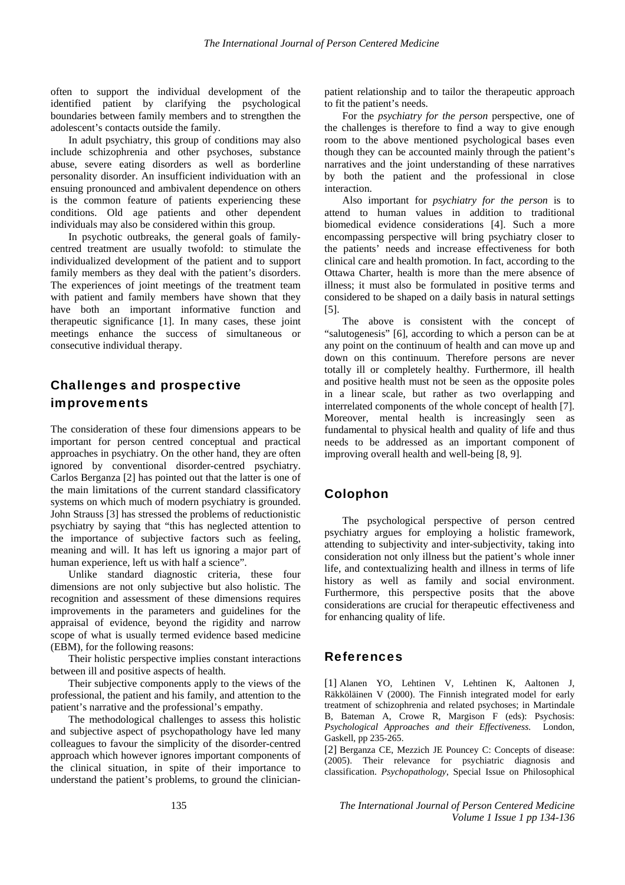often to support the individual development of the identified patient by clarifying the psychological boundaries between family members and to strengthen the adolescent's contacts outside the family.

In adult psychiatry, this group of conditions may also include schizophrenia and other psychoses, substance abuse, severe eating disorders as well as borderline personality disorder. An insufficient individuation with an ensuing pronounced and ambivalent dependence on others is the common feature of patients experiencing these conditions. Old age patients and other dependent individuals may also be considered within this group.

In psychotic outbreaks, the general goals of familycentred treatment are usually twofold: to stimulate the individualized development of the patient and to support family members as they deal with the patient's disorders. The experiences of joint meetings of the treatment team with patient and family members have shown that they have both an important informative function and therapeutic significance [1]. In many cases, these joint meetings enhance the success of simultaneous or consecutive individual therapy.

# Challenges and prospective improvements

The consideration of these four dimensions appears to be important for person centred conceptual and practical approaches in psychiatry. On the other hand, they are often ignored by conventional disorder-centred psychiatry. Carlos Berganza [2] has pointed out that the latter is one of the main limitations of the current standard classificatory systems on which much of modern psychiatry is grounded. John Strauss [3] has stressed the problems of reductionistic psychiatry by saying that "this has neglected attention to the importance of subjective factors such as feeling, meaning and will. It has left us ignoring a major part of human experience, left us with half a science".

Unlike standard diagnostic criteria, these four dimensions are not only subjective but also holistic. The recognition and assessment of these dimensions requires improvements in the parameters and guidelines for the appraisal of evidence, beyond the rigidity and narrow scope of what is usually termed evidence based medicine (EBM), for the following reasons:

Their holistic perspective implies constant interactions between ill and positive aspects of health.

Their subjective components apply to the views of the professional, the patient and his family, and attention to the patient's narrative and the professional's empathy.

The methodological challenges to assess this holistic and subjective aspect of psychopathology have led many colleagues to favour the simplicity of the disorder-centred approach which however ignores important components of the clinical situation, in spite of their importance to understand the patient's problems, to ground the clinicianpatient relationship and to tailor the therapeutic approach to fit the patient's needs.

For the *psychiatry for the person* perspective, one of the challenges is therefore to find a way to give enough room to the above mentioned psychological bases even though they can be accounted mainly through the patient's narratives and the joint understanding of these narratives by both the patient and the professional in close interaction.

Also important for *psychiatry for the person* is to attend to human values in addition to traditional biomedical evidence considerations [4]. Such a more encompassing perspective will bring psychiatry closer to the patients' needs and increase effectiveness for both clinical care and health promotion. In fact, according to the Ottawa Charter, health is more than the mere absence of illness; it must also be formulated in positive terms and considered to be shaped on a daily basis in natural settings [5].

The above is consistent with the concept of "salutogenesis" [6], according to which a person can be at any point on the continuum of health and can move up and down on this continuum. Therefore persons are never totally ill or completely healthy. Furthermore, ill health and positive health must not be seen as the opposite poles in a linear scale, but rather as two overlapping and interrelated components of the whole concept of health [7]. Moreover, mental health is increasingly seen as fundamental to physical health and quality of life and thus needs to be addressed as an important component of improving overall health and well-being [8, 9].

#### Colophon

The psychological perspective of person centred psychiatry argues for employing a holistic framework, attending to subjectivity and inter-subjectivity, taking into consideration not only illness but the patient's whole inner life, and contextualizing health and illness in terms of life history as well as family and social environment. Furthermore, this perspective posits that the above considerations are crucial for therapeutic effectiveness and for enhancing quality of life.

#### References

[1] Alanen YO, Lehtinen V, Lehtinen K, Aaltonen J, Räkköläinen V (2000). The Finnish integrated model for early treatment of schizophrenia and related psychoses; in Martindale B, Bateman A, Crowe R, Margison F (eds): Psychosis: *Psychological Approaches and their Effectiveness*. London, Gaskell, pp 235-265.

[2] Berganza CE, Mezzich JE Pouncey C: Concepts of disease: (2005). Their relevance for psychiatric diagnosis and classification. *Psychopathology*, Special Issue on Philosophical

135 *The International Journal of Person Centered Medicine Volume 1 Issue 1 pp 134-136*